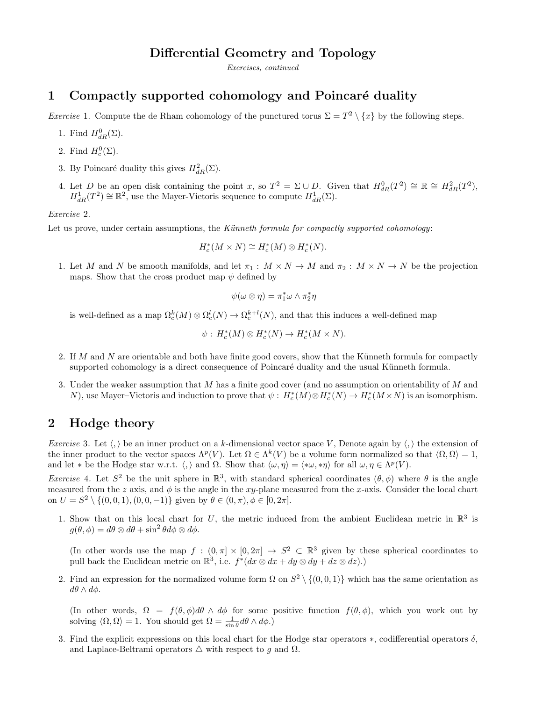# Differential Geometry and Topology

Exercises, continued

# 1 Compactly supported cohomology and Poincaré duality

*Exercise* 1. Compute the de Rham cohomology of the punctured torus  $\Sigma = T^2 \setminus \{x\}$  by the following steps.

- 1. Find  $H_{dR}^{0}(\Sigma)$ .
- 2. Find  $H_c^0(\Sigma)$ .
- 3. By Poincaré duality this gives  $H^2_{dR}(\Sigma)$ .
- 4. Let D be an open disk containing the point x, so  $T^2 = \Sigma \cup D$ . Given that  $H_{dR}^0(T^2) \cong \mathbb{R} \cong H_{dR}^2(T^2)$ ,  $H_{dR}^1(T^2) \cong \mathbb{R}^2$ , use the Mayer-Vietoris sequence to compute  $H_{dR}^1(\Sigma)$ .

#### Exercise 2.

Let us prove, under certain assumptions, the Künneth formula for compactly supported cohomology:

$$
H_c^*(M \times N) \cong H_c^*(M) \otimes H_c^*(N).
$$

1. Let M and N be smooth manifolds, and let  $\pi_1 : M \times N \to M$  and  $\pi_2 : M \times N \to N$  be the projection maps. Show that the cross product map  $\psi$  defined by

$$
\psi(\omega \otimes \eta) = \pi_1^* \omega \wedge \pi_2^* \eta
$$

is well-defined as a map  $\Omega_c^k(M) \otimes \Omega_c^l(N) \to \Omega_c^{k+l}(N)$ , and that this induces a well-defined map

$$
\psi: H_c^*(M) \otimes H_c^*(N) \to H_c^*(M \times N).
$$

- 2. If M and N are orientable and both have finite good covers, show that the Künneth formula for compactly supported cohomology is a direct consequence of Poincaré duality and the usual Künneth formula.
- 3. Under the weaker assumption that M has a finite good cover (and no assumption on orientability of M and N), use Mayer–Vietoris and induction to prove that  $\psi: H_c^*(M) \otimes H_c^*(N) \to H_c^*(M \times N)$  is an isomorphism.

### 2 Hodge theory

*Exercise* 3. Let  $\langle \cdot \rangle$  be an inner product on a k-dimensional vector space V, Denote again by  $\langle \cdot \rangle$  the extension of the inner product to the vector spaces  $\Lambda^p(V)$ . Let  $\Omega \in \Lambda^k(V)$  be a volume form normalized so that  $\langle \Omega, \Omega \rangle = 1$ , and let \* be the Hodge star w.r.t.  $\langle , \rangle$  and  $\Omega$ . Show that  $\langle \omega, \eta \rangle = \langle * \omega, * \eta \rangle$  for all  $\omega, \eta \in \Lambda^p(V)$ .

*Exercise* 4. Let  $S^2$  be the unit sphere in  $\mathbb{R}^3$ , with standard spherical coordinates  $(\theta, \phi)$  where  $\theta$  is the angle measured from the z axis, and  $\phi$  is the angle in the xy-plane measured from the x-axis. Consider the local chart on  $U = S^2 \setminus \{(0, 0, 1), (0, 0, -1)\}\$ given by  $\theta \in (0, \pi), \phi \in [0, 2\pi].$ 

1. Show that on this local chart for U, the metric induced from the ambient Euclidean metric in  $\mathbb{R}^3$  is  $g(\theta, \phi) = d\theta \otimes d\theta + \sin^2 \theta d\phi \otimes d\phi.$ 

(In other words use the map  $f : (0, \pi] \times [0, 2\pi] \rightarrow S^2 \subset \mathbb{R}^3$  given by these spherical coordinates to pull back the Euclidean metric on  $\mathbb{R}^3$ , i.e.  $f^*(dx \otimes dx + dy \otimes dy + dz \otimes dz)$ .

2. Find an expression for the normalized volume form  $\Omega$  on  $S^2 \setminus \{(0,0,1)\}\$  which has the same orientation as  $d\theta \wedge d\phi$ .

(In other words,  $\Omega = f(\theta, \phi)d\theta \wedge d\phi$  for some positive function  $f(\theta, \phi)$ , which you work out by solving  $\langle \Omega, \Omega \rangle = 1$ . You should get  $\Omega = \frac{1}{\sin \theta} d\theta \wedge d\phi$ .)

3. Find the explicit expressions on this local chart for the Hodge star operators  $\ast$ , codifferential operators  $\delta$ , and Laplace-Beltrami operators  $\triangle$  with respect to g and  $\Omega$ .